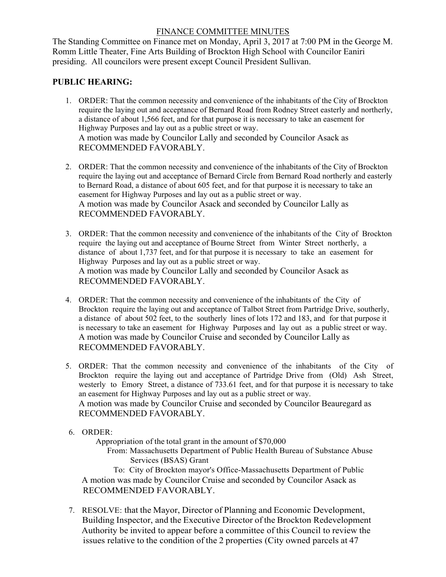## FINANCE COMMITTEE MINUTES

The Standing Committee on Finance met on Monday, April 3, 2017 at 7:00 PM in the George M. Romm Little Theater, Fine Arts Building of Brockton High School with Councilor Eaniri presiding. All councilors were present except Council President Sullivan.

## **PUBLIC HEARING:**

- 1. ORDER: That the common necessity and convenience of the inhabitants of the City of Brockton require the laying out and acceptance of Bernard Road from Rodney Street easterly and northerly, a distance of about 1,566 feet, and for that purpose it is necessary to take an easement for Highway Purposes and lay out as a public street or way. A motion was made by Councilor Lally and seconded by Councilor Asack as RECOMMENDED FAVORABLY.
- 2. ORDER: That the common necessity and convenience of the inhabitants of the City of Brockton require the laying out and acceptance of Bernard Circle from Bernard Road northerly and easterly to Bernard Road, a distance of about 605 feet, and for that purpose it is necessary to take an easement for Highway Purposes and lay out as a public street or way. A motion was made by Councilor Asack and seconded by Councilor Lally as RECOMMENDED FAVORABLY.
- 3. ORDER: That the common necessity and convenience of the inhabitants of the City of Brockton require the laying out and acceptance of Bourne Street from Winter Street northerly, a distance of about 1,737 feet, and for that purpose it is necessary to take an easement for Highway Purposes and lay out as a public street or way. A motion was made by Councilor Lally and seconded by Councilor Asack as RECOMMENDED FAVORABLY.
- 4. ORDER: That the common necessity and convenience of the inhabitants of the City of Brockton require the laying out and acceptance of Talbot Street from Partridge Drive, southerly, a distance of about 502 feet, to the southerly lines of lots 172 and 183, and for that purpose it is necessary to take an easement for Highway Purposes and lay out as a public street or way. A motion was made by Councilor Cruise and seconded by Councilor Lally as RECOMMENDED FAVORABLY.
- 5. ORDER: That the common necessity and convenience of the inhabitants of the City of 5. ORDER: That the common necessity and convenience of the inhabitants of the City of Brockton require the laying out and acceptance of Partridge Drive from (Old) Ash Street, westerly to Emory Street, a distance of 733.61 an easement for Highway Purposes and lay out as a public street or way. A motion was made by Councilor Cruise and seconded by Councilor Beauregard as RECOMMENDED FAVORABLY.
- 6. ORDER:

Appropriation of the total grant in the amount of \$70,000

From: Massachusetts Department of Public Health Bureau of Substance Abuse Services (BSAS) Grant

To: City of Brockton mayor's Office-Massachusetts Department of Public A motion was made by Councilor Cruise and seconded by Councilor Asack as RECOMMENDED FAVORABLY.

7. RESOLVE: that the Mayor, Director of Planning and Economic Development, Building Inspector, and the Executive Director of the Brockton Redevelopment Authority be invited to appear before a committee of this Council to review the issues relative to the condition of the 2 properties (City owned parcels at 47